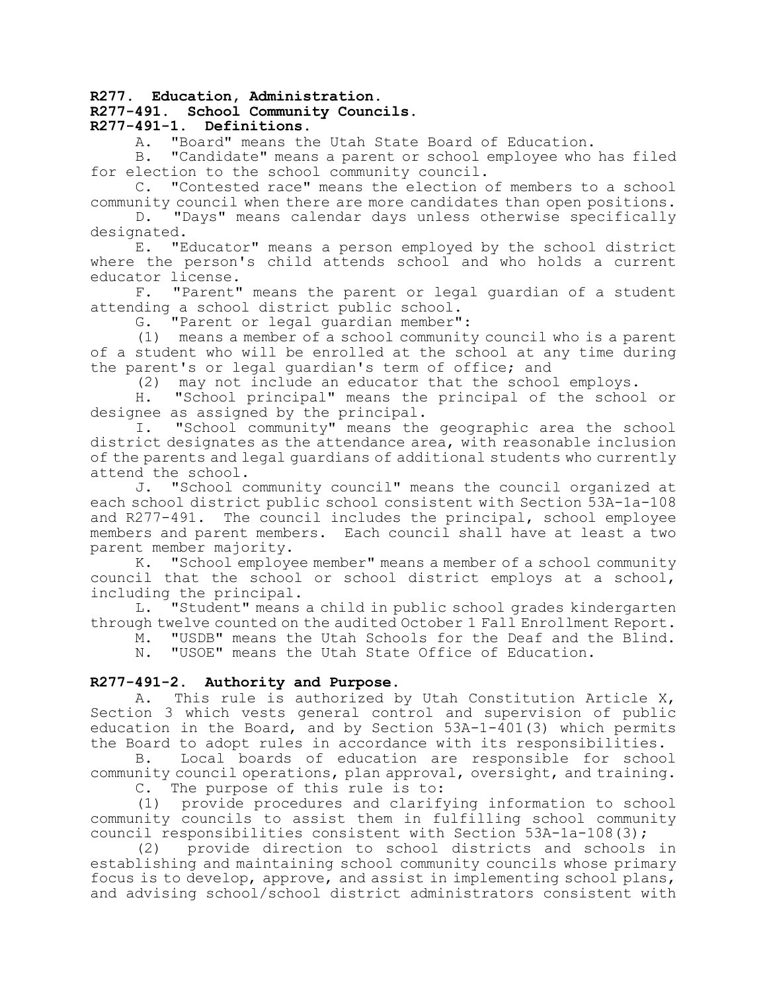### **R277. Education, Administration.**

## **R277-491. School Community Councils.**

# **R277-491-1. Definitions.**

A. "Board" means the Utah State Board of Education.

B. "Candidate" means a parent or school employee who has filed for election to the school community council.

C. "Contested race" means the election of members to a school community council when there are more candidates than open positions.

D. "Days" means calendar days unless otherwise specifically designated.

E. "Educator" means a person employed by the school district where the person's child attends school and who holds a current educator license.

F. "Parent" means the parent or legal guardian of a student attending a school district public school.

G. "Parent or legal guardian member":

(1) means a member of a school community council who is a parent of a student who will be enrolled at the school at any time during the parent's or legal guardian's term of office; and

(2) may not include an educator that the school employs.

H. "School principal" means the principal of the school or designee as assigned by the principal.

I. "School community" means the geographic area the school district designates as the attendance area, with reasonable inclusion of the parents and legal guardians of additional students who currently attend the school.

J. "School community council" means the council organized at each school district public school consistent with Section 53A-1a-108 and R277-491. The council includes the principal, school employee members and parent members. Each council shall have at least a two parent member majority.

K. "School employee member" means a member of a school community council that the school or school district employs at a school, including the principal.

L. "Student" means a child in public school grades kindergarten through twelve counted on the audited October 1 Fall Enrollment Report.

M. "USDB" means the Utah Schools for the Deaf and the Blind.

N. "USOE" means the Utah State Office of Education.

## **R277-491-2. Authority and Purpose.**

A. This rule is authorized by Utah Constitution Article X, Section 3 which vests general control and supervision of public education in the Board, and by Section  $53A-1-\overline{4}01(3)$  which permits the Board to adopt rules in accordance with its responsibilities.

B. Local boards of education are responsible for school community council operations, plan approval, oversight, and training.

C. The purpose of this rule is to:

(1) provide procedures and clarifying information to school community councils to assist them in fulfilling school community council responsibilities consistent with Section 53A-1a-108(3);

(2) provide direction to school districts and schools in establishing and maintaining school community councils whose primary focus is to develop, approve, and assist in implementing school plans, and advising school/school district administrators consistent with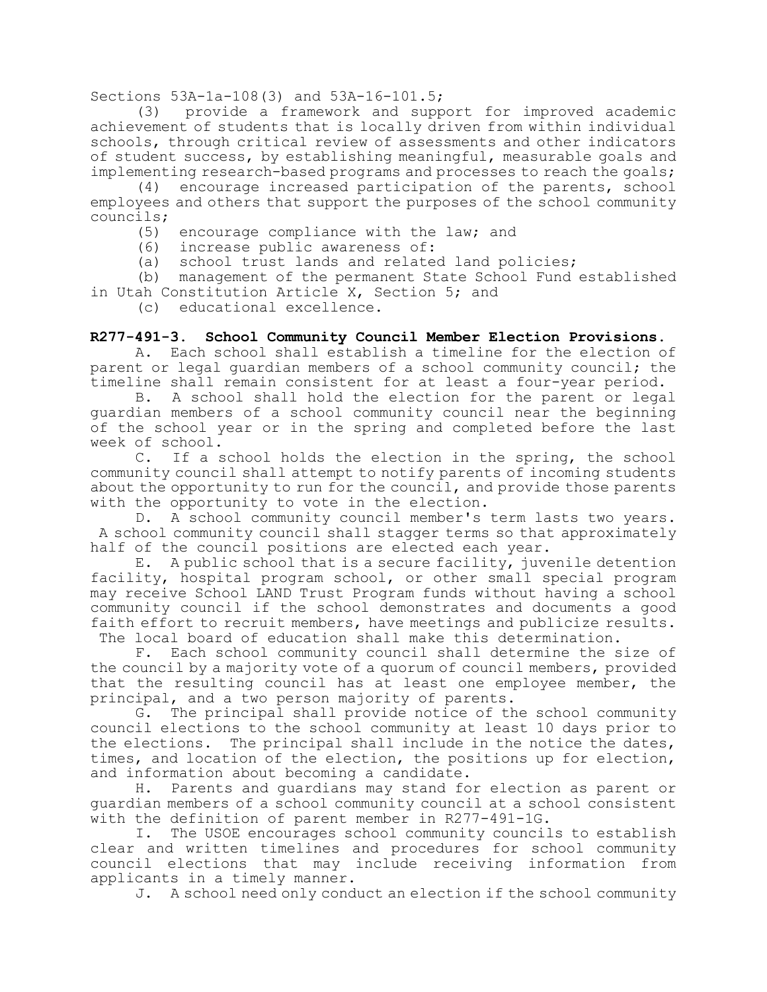Sections 53A-1a-108(3) and 53A-16-101.5;

(3) provide a framework and support for improved academic achievement of students that is locally driven from within individual schools, through critical review of assessments and other indicators of student success, by establishing meaningful, measurable goals and implementing research-based programs and processes to reach the goals;

(4) encourage increased participation of the parents, school employees and others that support the purposes of the school community councils;

(5) encourage compliance with the law; and

(6) increase public awareness of:

(a) school trust lands and related land policies;

(b) management of the permanent State School Fund established in Utah Constitution Article X, Section 5; and

(c) educational excellence.

### **R277-491-3. School Community Council Member Election Provisions.**

A. Each school shall establish a timeline for the election of parent or legal guardian members of a school community council; the timeline shall remain consistent for at least a four-year period.

B. A school shall hold the election for the parent or legal guardian members of a school community council near the beginning of the school year or in the spring and completed before the last week of school.

C. If a school holds the election in the spring, the school community council shall attempt to notify parents of incoming students about the opportunity to run for the council, and provide those parents with the opportunity to vote in the election.

D. A school community council member's term lasts two years. A school community council shall stagger terms so that approximately half of the council positions are elected each year.

E. A public school that is a secure facility, juvenile detention facility, hospital program school, or other small special program may receive School LAND Trust Program funds without having a school community council if the school demonstrates and documents a good faith effort to recruit members, have meetings and publicize results. The local board of education shall make this determination.

F. Each school community council shall determine the size of the council by a majority vote of a quorum of council members, provided that the resulting council has at least one employee member, the principal, and a two person majority of parents.

G. The principal shall provide notice of the school community council elections to the school community at least 10 days prior to the elections. The principal shall include in the notice the dates, times, and location of the election, the positions up for election, and information about becoming a candidate.

H. Parents and guardians may stand for election as parent or guardian members of a school community council at a school consistent with the definition of parent member in R277-491-1G.

I. The USOE encourages school community councils to establish clear and written timelines and procedures for school community council elections that may include receiving information from applicants in a timely manner.

J. A school need only conduct an election if the school community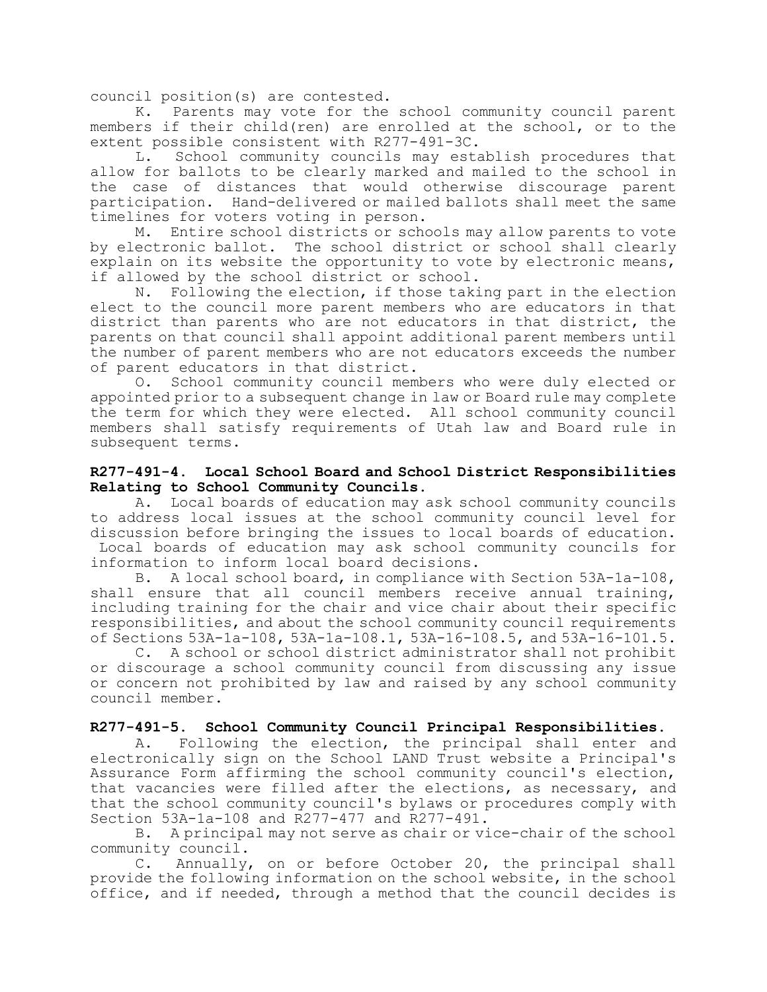council position(s) are contested.

K. Parents may vote for the school community council parent members if their child(ren) are enrolled at the school, or to the extent possible consistent with R277-491-3C.

L. School community councils may establish procedures that allow for ballots to be clearly marked and mailed to the school in the case of distances that would otherwise discourage parent participation. Hand-delivered or mailed ballots shall meet the same timelines for voters voting in person.

M. Entire school districts or schools may allow parents to vote by electronic ballot. The school district or school shall clearly explain on its website the opportunity to vote by electronic means, if allowed by the school district or school.

N. Following the election, if those taking part in the election elect to the council more parent members who are educators in that district than parents who are not educators in that district, the parents on that council shall appoint additional parent members until the number of parent members who are not educators exceeds the number of parent educators in that district.

O. School community council members who were duly elected or appointed prior to a subsequent change in law or Board rule may complete the term for which they were elected. All school community council members shall satisfy requirements of Utah law and Board rule in subsequent terms.

## **R277-491-4. Local School Board and School District Responsibilities Relating to School Community Councils.**

A. Local boards of education may ask school community councils to address local issues at the school community council level for discussion before bringing the issues to local boards of education. Local boards of education may ask school community councils for information to inform local board decisions.

B. A local school board, in compliance with Section 53A-1a-108, shall ensure that all council members receive annual training, including training for the chair and vice chair about their specific responsibilities, and about the school community council requirements of Sections 53A-1a-108, 53A-1a-108.1, 53A-16-108.5, and 53A-16-101.5.

C. A school or school district administrator shall not prohibit or discourage a school community council from discussing any issue or concern not prohibited by law and raised by any school community council member.

# **R277-491-5. School Community Council Principal Responsibilities.**

A. Following the election, the principal shall enter and electronically sign on the School LAND Trust website a Principal's Assurance Form affirming the school community council's election, that vacancies were filled after the elections, as necessary, and that the school community council's bylaws or procedures comply with Section 53A-1a-108 and R277-477 and R277-491.

B. A principal may not serve as chair or vice-chair of the school community council.

C. Annually, on or before October 20, the principal shall provide the following information on the school website, in the school office, and if needed, through a method that the council decides is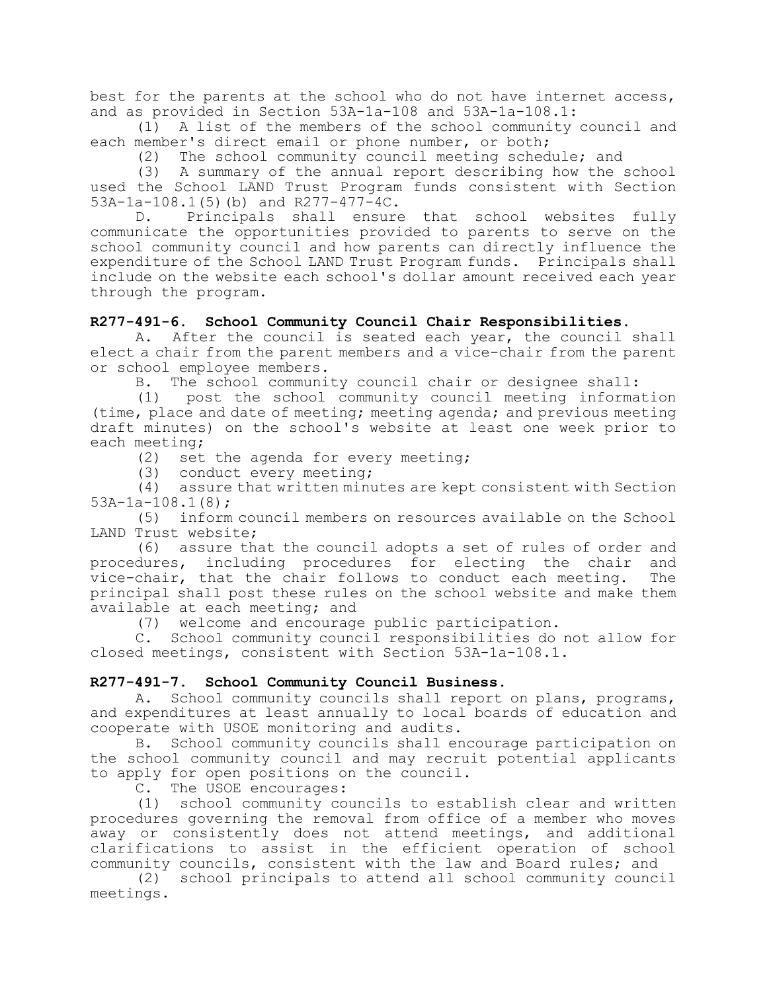best for the parents at the school who do not have internet access, and as provided in Section 53A-1a-108 and 53A-1a-108.1:

(1) A list of the members of the school community council and each member's direct email or phone number, or both;

(2) The school community council meeting schedule; and

(3) A summary of the annual report describing how the school used the School LAND Trust Program funds consistent with Section 53A-1a-108.1(5)(b) and R277-477-4C.

D. Principals shall ensure that school websites fully communicate the opportunities provided to parents to serve on the school community council and how parents can directly influence the expenditure of the School LAND Trust Program funds. Principals shall include on the website each school's dollar amount received each year through the program.

## **R277-491-6. School Community Council Chair Responsibilities.**

A. After the council is seated each year, the council shall elect a chair from the parent members and a vice-chair from the parent or school employee members.

B. The school community council chair or designee shall:

(1) post the school community council meeting information (time, place and date of meeting; meeting agenda; and previous meeting draft minutes) on the school's website at least one week prior to each meeting;

(2) set the agenda for every meeting;

(3) conduct every meeting;

(4) assure that written minutes are kept consistent with Section 53A-1a-108.1(8);

(5) inform council members on resources available on the School LAND Trust website;

(6) assure that the council adopts a set of rules of order and procedures, including procedures for electing the chair and vice-chair, that the chair follows to conduct each meeting. The principal shall post these rules on the school website and make them available at each meeting; and

(7) welcome and encourage public participation.

C. School community council responsibilities do not allow for closed meetings, consistent with Section 53A-1a-108.1.

### **R277-491-7. School Community Council Business.**

A. School community councils shall report on plans, programs, and expenditures at least annually to local boards of education and cooperate with USOE monitoring and audits.

B. School community councils shall encourage participation on the school community council and may recruit potential applicants to apply for open positions on the council.

C. The USOE encourages:

(1) school community councils to establish clear and written procedures governing the removal from office of a member who moves away or consistently does not attend meetings, and additional clarifications to assist in the efficient operation of school community councils, consistent with the law and Board rules; and

(2) school principals to attend all school community council meetings.